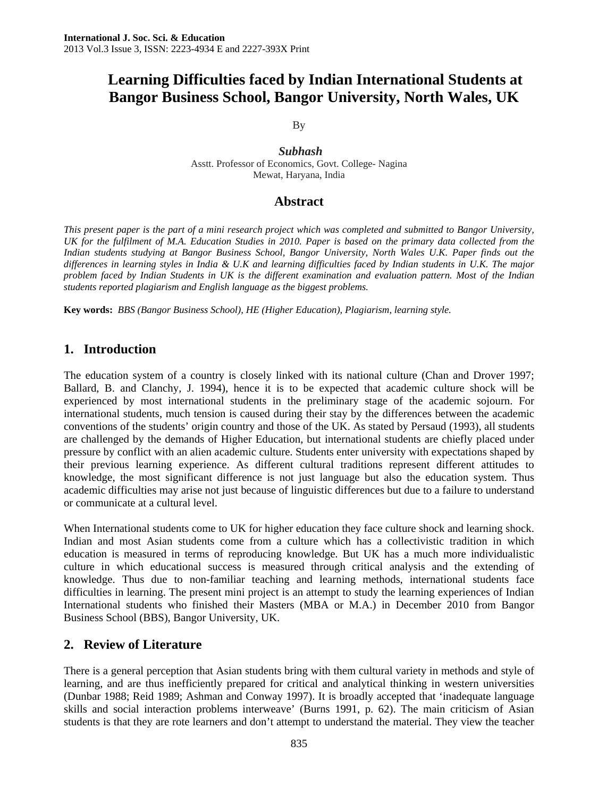# **Learning Difficulties faced by Indian International Students at Bangor Business School, Bangor University, North Wales, UK**

By

 *Subhash*  Asstt. Professor of Economics, Govt. College- Nagina Mewat, Haryana, India

### **Abstract**

*This present paper is the part of a mini research project which was completed and submitted to Bangor University, UK for the fulfilment of M.A. Education Studies in 2010. Paper is based on the primary data collected from the Indian students studying at Bangor Business School, Bangor University, North Wales U.K. Paper finds out the differences in learning styles in India & U.K and learning difficulties faced by Indian students in U.K. The major problem faced by Indian Students in UK is the different examination and evaluation pattern. Most of the Indian students reported plagiarism and English language as the biggest problems.* 

**Key words:** *BBS (Bangor Business School), HE (Higher Education), Plagiarism, learning style.* 

## **1. Introduction**

The education system of a country is closely linked with its national culture (Chan and Drover 1997; Ballard, B. and Clanchy, J. 1994), hence it is to be expected that academic culture shock will be experienced by most international students in the preliminary stage of the academic sojourn. For international students, much tension is caused during their stay by the differences between the academic conventions of the students' origin country and those of the UK. As stated by Persaud (1993), all students are challenged by the demands of Higher Education, but international students are chiefly placed under pressure by conflict with an alien academic culture. Students enter university with expectations shaped by their previous learning experience. As different cultural traditions represent different attitudes to knowledge, the most significant difference is not just language but also the education system. Thus academic difficulties may arise not just because of linguistic differences but due to a failure to understand or communicate at a cultural level.

When International students come to UK for higher education they face culture shock and learning shock. Indian and most Asian students come from a culture which has a collectivistic tradition in which education is measured in terms of reproducing knowledge. But UK has a much more individualistic culture in which educational success is measured through critical analysis and the extending of knowledge. Thus due to non-familiar teaching and learning methods, international students face difficulties in learning. The present mini project is an attempt to study the learning experiences of Indian International students who finished their Masters (MBA or M.A.) in December 2010 from Bangor Business School (BBS), Bangor University, UK.

## **2. Review of Literature**

There is a general perception that Asian students bring with them cultural variety in methods and style of learning, and are thus inefficiently prepared for critical and analytical thinking in western universities (Dunbar 1988; Reid 1989; Ashman and Conway 1997). It is broadly accepted that 'inadequate language skills and social interaction problems interweave' (Burns 1991, p. 62). The main criticism of Asian students is that they are rote learners and don't attempt to understand the material. They view the teacher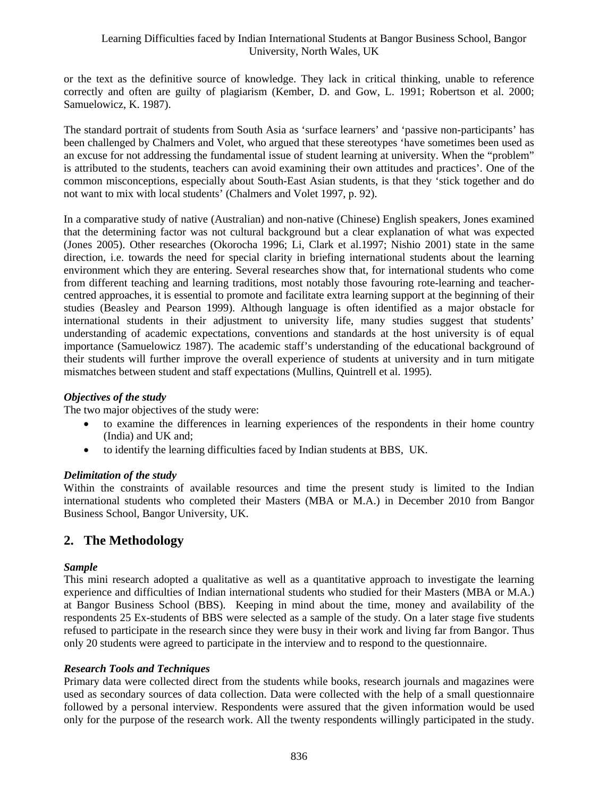#### Learning Difficulties faced by Indian International Students at Bangor Business School, Bangor University, North Wales, UK

or the text as the definitive source of knowledge. They lack in critical thinking, unable to reference correctly and often are guilty of plagiarism (Kember, D. and Gow, L. 1991; Robertson et al. 2000; Samuelowicz, K. 1987).

The standard portrait of students from South Asia as 'surface learners' and 'passive non-participants' has been challenged by Chalmers and Volet, who argued that these stereotypes 'have sometimes been used as an excuse for not addressing the fundamental issue of student learning at university. When the "problem" is attributed to the students, teachers can avoid examining their own attitudes and practices'. One of the common misconceptions, especially about South-East Asian students, is that they 'stick together and do not want to mix with local students' (Chalmers and Volet 1997, p. 92).

In a comparative study of native (Australian) and non-native (Chinese) English speakers, Jones examined that the determining factor was not cultural background but a clear explanation of what was expected (Jones 2005). Other researches (Okorocha 1996; Li, Clark et al.1997; Nishio 2001) state in the same direction, i.e. towards the need for special clarity in briefing international students about the learning environment which they are entering. Several researches show that, for international students who come from different teaching and learning traditions, most notably those favouring rote-learning and teachercentred approaches, it is essential to promote and facilitate extra learning support at the beginning of their studies (Beasley and Pearson 1999). Although language is often identified as a major obstacle for international students in their adjustment to university life, many studies suggest that students' understanding of academic expectations, conventions and standards at the host university is of equal importance (Samuelowicz 1987). The academic staff's understanding of the educational background of their students will further improve the overall experience of students at university and in turn mitigate mismatches between student and staff expectations (Mullins, Quintrell et al. 1995).

#### *Objectives of the study*

The two major objectives of the study were:

- to examine the differences in learning experiences of the respondents in their home country (India) and UK and;
- to identify the learning difficulties faced by Indian students at BBS, UK.

#### *Delimitation of the study*

Within the constraints of available resources and time the present study is limited to the Indian international students who completed their Masters (MBA or M.A.) in December 2010 from Bangor Business School, Bangor University, UK.

## **2. The Methodology**

#### *Sample*

This mini research adopted a qualitative as well as a quantitative approach to investigate the learning experience and difficulties of Indian international students who studied for their Masters (MBA or M.A.) at Bangor Business School (BBS). Keeping in mind about the time, money and availability of the respondents 25 Ex-students of BBS were selected as a sample of the study. On a later stage five students refused to participate in the research since they were busy in their work and living far from Bangor. Thus only 20 students were agreed to participate in the interview and to respond to the questionnaire.

#### *Research Tools and Techniques*

Primary data were collected direct from the students while books, research journals and magazines were used as secondary sources of data collection. Data were collected with the help of a small questionnaire followed by a personal interview. Respondents were assured that the given information would be used only for the purpose of the research work. All the twenty respondents willingly participated in the study.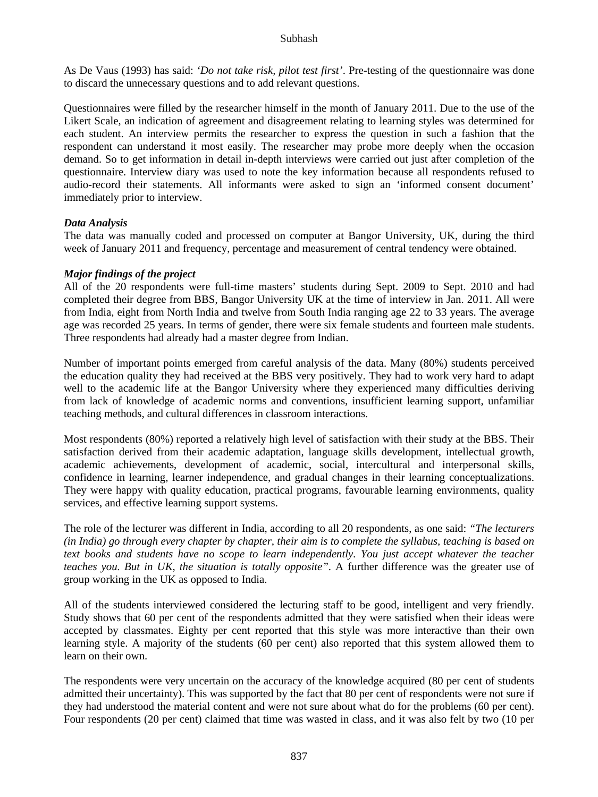#### Subhash

As De Vaus (1993) has said: *'Do not take risk, pilot test first'*. Pre-testing of the questionnaire was done to discard the unnecessary questions and to add relevant questions.

Questionnaires were filled by the researcher himself in the month of January 2011. Due to the use of the Likert Scale, an indication of agreement and disagreement relating to learning styles was determined for each student. An interview permits the researcher to express the question in such a fashion that the respondent can understand it most easily. The researcher may probe more deeply when the occasion demand. So to get information in detail in-depth interviews were carried out just after completion of the questionnaire. Interview diary was used to note the key information because all respondents refused to audio-record their statements. All informants were asked to sign an 'informed consent document' immediately prior to interview.

#### *Data Analysis*

The data was manually coded and processed on computer at Bangor University, UK, during the third week of January 2011 and frequency, percentage and measurement of central tendency were obtained.

#### *Major findings of the project*

All of the 20 respondents were full-time masters' students during Sept. 2009 to Sept. 2010 and had completed their degree from BBS, Bangor University UK at the time of interview in Jan. 2011. All were from India, eight from North India and twelve from South India ranging age 22 to 33 years. The average age was recorded 25 years. In terms of gender, there were six female students and fourteen male students. Three respondents had already had a master degree from Indian.

Number of important points emerged from careful analysis of the data. Many (80%) students perceived the education quality they had received at the BBS very positively. They had to work very hard to adapt well to the academic life at the Bangor University where they experienced many difficulties deriving from lack of knowledge of academic norms and conventions, insufficient learning support, unfamiliar teaching methods, and cultural differences in classroom interactions.

Most respondents (80%) reported a relatively high level of satisfaction with their study at the BBS. Their satisfaction derived from their academic adaptation, language skills development, intellectual growth, academic achievements, development of academic, social, intercultural and interpersonal skills, confidence in learning, learner independence, and gradual changes in their learning conceptualizations. They were happy with quality education, practical programs, favourable learning environments, quality services, and effective learning support systems.

The role of the lecturer was different in India, according to all 20 respondents, as one said: *"The lecturers (in India) go through every chapter by chapter, their aim is to complete the syllabus, teaching is based on text books and students have no scope to learn independently. You just accept whatever the teacher teaches you. But in UK, the situation is totally opposite"*. A further difference was the greater use of group working in the UK as opposed to India.

All of the students interviewed considered the lecturing staff to be good, intelligent and very friendly. Study shows that 60 per cent of the respondents admitted that they were satisfied when their ideas were accepted by classmates. Eighty per cent reported that this style was more interactive than their own learning style. A majority of the students (60 per cent) also reported that this system allowed them to learn on their own.

The respondents were very uncertain on the accuracy of the knowledge acquired (80 per cent of students admitted their uncertainty). This was supported by the fact that 80 per cent of respondents were not sure if they had understood the material content and were not sure about what do for the problems (60 per cent). Four respondents (20 per cent) claimed that time was wasted in class, and it was also felt by two (10 per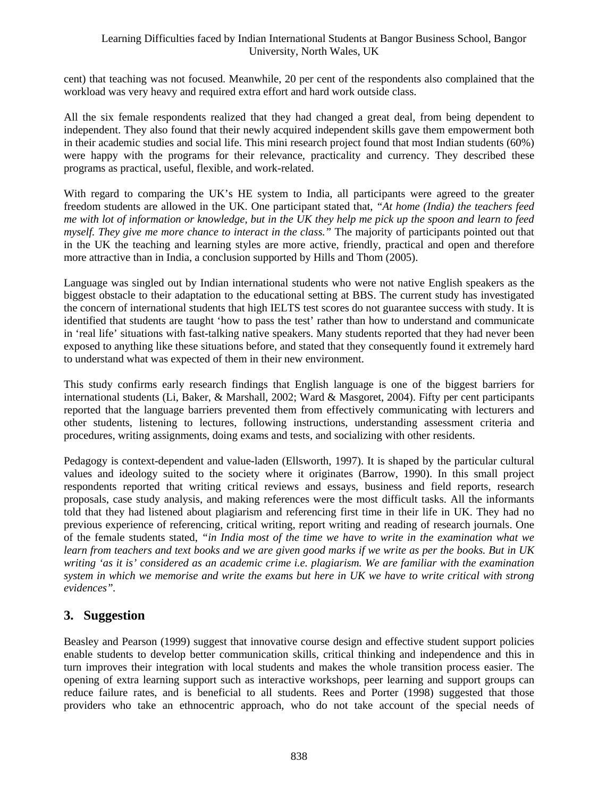#### Learning Difficulties faced by Indian International Students at Bangor Business School, Bangor University, North Wales, UK

cent) that teaching was not focused. Meanwhile, 20 per cent of the respondents also complained that the workload was very heavy and required extra effort and hard work outside class.

All the six female respondents realized that they had changed a great deal, from being dependent to independent. They also found that their newly acquired independent skills gave them empowerment both in their academic studies and social life. This mini research project found that most Indian students (60%) were happy with the programs for their relevance, practicality and currency. They described these programs as practical, useful, flexible, and work-related.

With regard to comparing the UK's HE system to India, all participants were agreed to the greater freedom students are allowed in the UK. One participant stated that, *"At home (India) the teachers feed me with lot of information or knowledge, but in the UK they help me pick up the spoon and learn to feed myself. They give me more chance to interact in the class."* The majority of participants pointed out that in the UK the teaching and learning styles are more active, friendly, practical and open and therefore more attractive than in India, a conclusion supported by Hills and Thom (2005).

Language was singled out by Indian international students who were not native English speakers as the biggest obstacle to their adaptation to the educational setting at BBS. The current study has investigated the concern of international students that high IELTS test scores do not guarantee success with study. It is identified that students are taught 'how to pass the test' rather than how to understand and communicate in 'real life' situations with fast-talking native speakers. Many students reported that they had never been exposed to anything like these situations before, and stated that they consequently found it extremely hard to understand what was expected of them in their new environment.

This study confirms early research findings that English language is one of the biggest barriers for international students (Li, Baker, & Marshall, 2002; Ward & Masgoret, 2004). Fifty per cent participants reported that the language barriers prevented them from effectively communicating with lecturers and other students, listening to lectures, following instructions, understanding assessment criteria and procedures, writing assignments, doing exams and tests, and socializing with other residents.

Pedagogy is context-dependent and value-laden (Ellsworth, 1997). It is shaped by the particular cultural values and ideology suited to the society where it originates (Barrow, 1990). In this small project respondents reported that writing critical reviews and essays, business and field reports, research proposals, case study analysis, and making references were the most difficult tasks. All the informants told that they had listened about plagiarism and referencing first time in their life in UK. They had no previous experience of referencing, critical writing, report writing and reading of research journals. One of the female students stated, *"in India most of the time we have to write in the examination what we learn from teachers and text books and we are given good marks if we write as per the books. But in UK writing 'as it is' considered as an academic crime i.e. plagiarism. We are familiar with the examination system in which we memorise and write the exams but here in UK we have to write critical with strong evidences".* 

## **3. Suggestion**

Beasley and Pearson (1999) suggest that innovative course design and effective student support policies enable students to develop better communication skills, critical thinking and independence and this in turn improves their integration with local students and makes the whole transition process easier. The opening of extra learning support such as interactive workshops, peer learning and support groups can reduce failure rates, and is beneficial to all students. Rees and Porter (1998) suggested that those providers who take an ethnocentric approach, who do not take account of the special needs of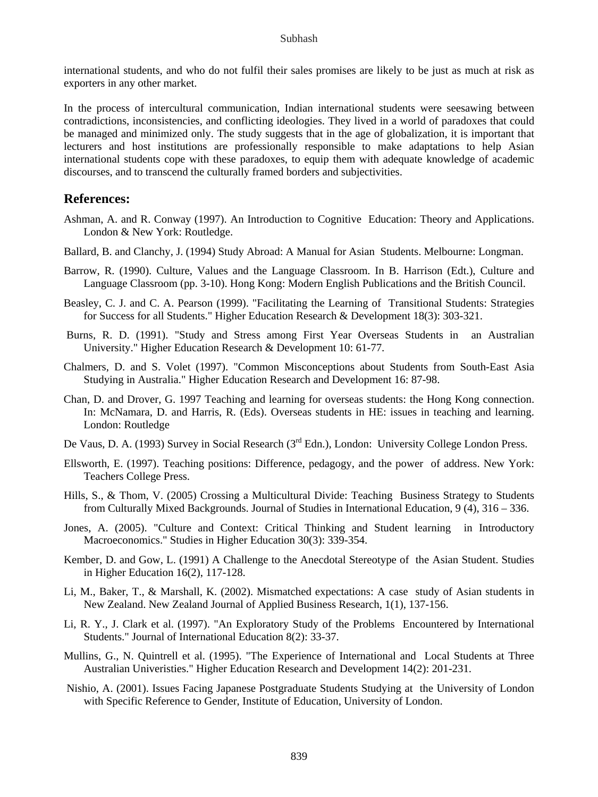international students, and who do not fulfil their sales promises are likely to be just as much at risk as exporters in any other market.

In the process of intercultural communication, Indian international students were seesawing between contradictions, inconsistencies, and conflicting ideologies. They lived in a world of paradoxes that could be managed and minimized only. The study suggests that in the age of globalization, it is important that lecturers and host institutions are professionally responsible to make adaptations to help Asian international students cope with these paradoxes, to equip them with adequate knowledge of academic discourses, and to transcend the culturally framed borders and subjectivities.

#### **References:**

- Ashman, A. and R. Conway (1997). An Introduction to Cognitive Education: Theory and Applications. London & New York: Routledge.
- Ballard, B. and Clanchy, J. (1994) Study Abroad: A Manual for Asian Students. Melbourne: Longman.
- Barrow, R. (1990). Culture, Values and the Language Classroom. In B. Harrison (Edt.), Culture and Language Classroom (pp. 3-10). Hong Kong: Modern English Publications and the British Council.
- Beasley, C. J. and C. A. Pearson (1999). "Facilitating the Learning of Transitional Students: Strategies for Success for all Students." Higher Education Research & Development 18(3): 303-321.
- Burns, R. D. (1991). "Study and Stress among First Year Overseas Students in an Australian University." Higher Education Research & Development 10: 61-77.
- Chalmers, D. and S. Volet (1997). "Common Misconceptions about Students from South-East Asia Studying in Australia." Higher Education Research and Development 16: 87-98.
- Chan, D. and Drover, G. 1997 Teaching and learning for overseas students: the Hong Kong connection. In: McNamara, D. and Harris, R. (Eds). Overseas students in HE: issues in teaching and learning. London: Routledge
- De Vaus, D. A. (1993) Survey in Social Research ( $3<sup>rd</sup>$  Edn.), London: University College London Press.
- Ellsworth, E. (1997). Teaching positions: Difference, pedagogy, and the power of address. New York: Teachers College Press.
- Hills, S., & Thom, V. (2005) Crossing a Multicultural Divide: Teaching Business Strategy to Students from Culturally Mixed Backgrounds. Journal of Studies in International Education, 9 (4), 316 – 336.
- Jones, A. (2005). "Culture and Context: Critical Thinking and Student learning in Introductory Macroeconomics." Studies in Higher Education 30(3): 339-354.
- Kember, D. and Gow, L. (1991) A Challenge to the Anecdotal Stereotype of the Asian Student. Studies in Higher Education 16(2), 117-128.
- Li, M., Baker, T., & Marshall, K. (2002). Mismatched expectations: A case study of Asian students in New Zealand. New Zealand Journal of Applied Business Research, 1(1), 137-156.
- Li, R. Y., J. Clark et al. (1997). "An Exploratory Study of the Problems Encountered by International Students." Journal of International Education 8(2): 33-37.
- Mullins, G., N. Quintrell et al. (1995). "The Experience of International and Local Students at Three Australian Univeristies." Higher Education Research and Development 14(2): 201-231.
- Nishio, A. (2001). Issues Facing Japanese Postgraduate Students Studying at the University of London with Specific Reference to Gender, Institute of Education, University of London.